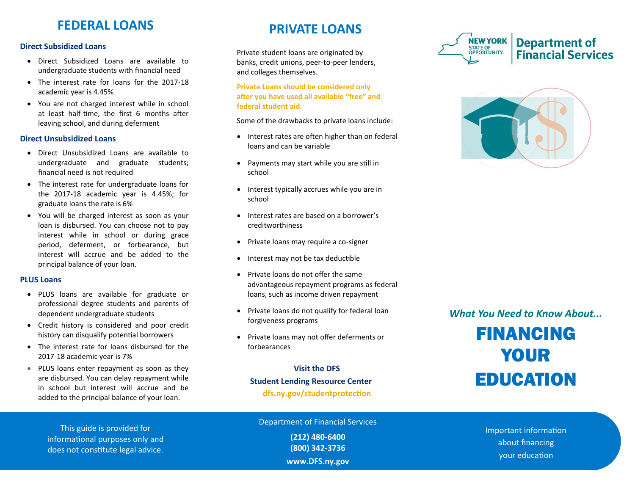### **FEDERAL LOANS**

#### **Direct Subsidized Loans**

- Direct Subsidized Loans are available to undergraduate students with financial need
- The interest rate for loans for the 2017-18 academic year is 4.45%
- You are not charged interest while in school at least half-time, the first 6 months after leaving school, and during deferment

#### **Direct Unsubsidized Loans**

- Direct Unsubsidized Loans are available to undergraduate and graduate students; financial need is not required
- The interest rate for undergraduate loans for the 2017-18 academic year is 4.45%; for graduate loans the rate is 6%
- You will be charged interest as soon as your loan is disbursed. You can choose not to pay interest while in school or during grace period, deferment, or forbearance, but interest will accrue and be added to the principal balance of your loan.

#### **PLUS Loans**

- PLUS loans are available for graduate or professional degree students and parents of dependent undergraduate students
- Credit history is considered and poor credit history can disqualify potential borrowers
- The interest rate for loans disbursed for the 2017-18 academic year is 7%
- PLUS loans enter repayment as soon as they are disbursed. You can delay repayment while in school but interest will accrue and be added to the principal balance of your loan.

#### **PRIVATE LOANS**

Private student loans are originated by banks, credit unions, peer-to-peer lenders, and colleges themselves.

**Private Loans should be considered only after you have used all available "free" and federal student aid.** 

Some of the drawbacks to private loans include:

- Interest rates are often higher than on federal loans and can be variable
- Payments may start while you are still in school
- Interest typically accrues while you are in school
- Interest rates are based on a borrower's creditworthiness
- Private loans may require a co-signer
- Interest may not be tax deductible
- Private loans do not offer the same advantageous repayment programs as federal loans, such as income driven repayment
- Private loans do not qualify for federal loan forgiveness programs
- Private loans may not offer deferments or forbearances

**Visit the DFS Student Lending Resource Center dfs.ny.gov/studentprotection**





*What You Need to Know About...*

FINANCING YOUR EDUCATION

This guide is provided for informational purposes only and does not constitute legal advice.

Department of Financial Services

**(212) 480-6400 (800) 342-3736 www.DFS.ny.gov** Important information about financing your education